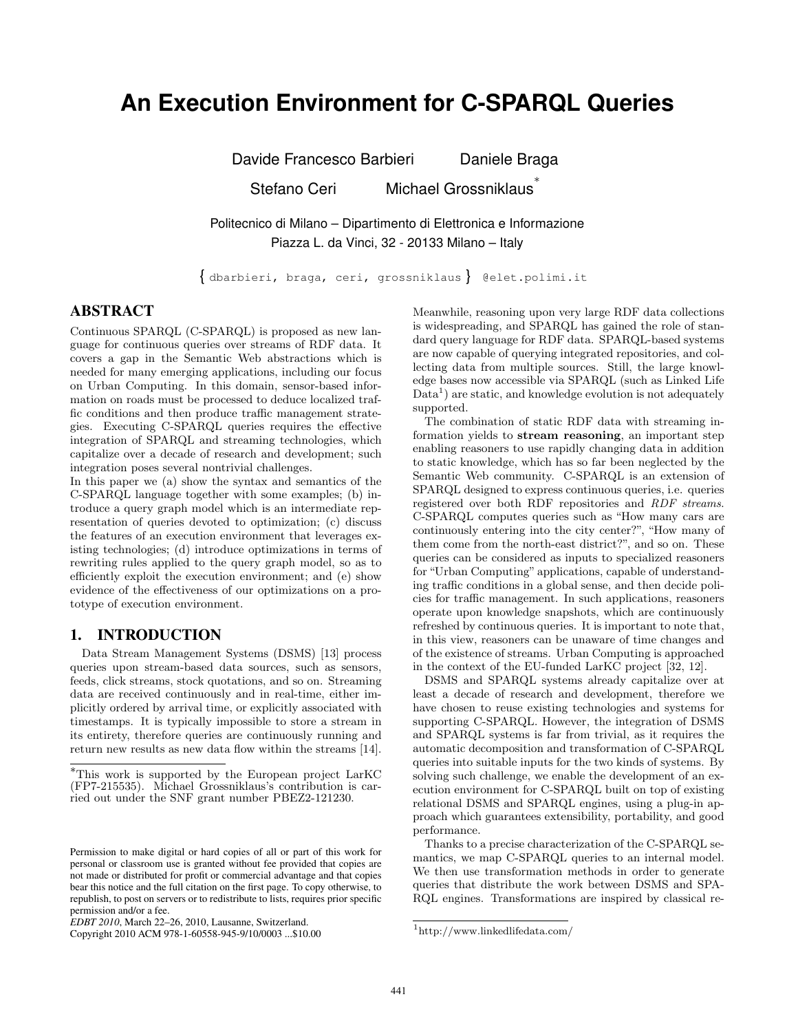# **An Execution Environment for C-SPARQL Queries**

Davide Francesco Barbieri Daniele Braga

Stefano Ceri Michael Grossniklaus ∗

Politecnico di Milano – Dipartimento di Elettronica e Informazione Piazza L. da Vinci, 32 - 20133 Milano – Italy

{ dbarbieri, braga, ceri, grossniklaus } @elet.polimi.it

# ABSTRACT

Continuous SPARQL (C-SPARQL) is proposed as new language for continuous queries over streams of RDF data. It covers a gap in the Semantic Web abstractions which is needed for many emerging applications, including our focus on Urban Computing. In this domain, sensor-based information on roads must be processed to deduce localized traffic conditions and then produce traffic management strategies. Executing C-SPARQL queries requires the effective integration of SPARQL and streaming technologies, which capitalize over a decade of research and development; such integration poses several nontrivial challenges.

In this paper we (a) show the syntax and semantics of the C-SPARQL language together with some examples; (b) introduce a query graph model which is an intermediate representation of queries devoted to optimization; (c) discuss the features of an execution environment that leverages existing technologies; (d) introduce optimizations in terms of rewriting rules applied to the query graph model, so as to efficiently exploit the execution environment; and (e) show evidence of the effectiveness of our optimizations on a prototype of execution environment.

#### 1. INTRODUCTION

Data Stream Management Systems (DSMS) [13] process queries upon stream-based data sources, such as sensors, feeds, click streams, stock quotations, and so on. Streaming data are received continuously and in real-time, either implicitly ordered by arrival time, or explicitly associated with timestamps. It is typically impossible to store a stream in its entirety, therefore queries are continuously running and return new results as new data flow within the streams [14]. Meanwhile, reasoning upon very large RDF data collections is widespreading, and SPARQL has gained the role of standard query language for RDF data. SPARQL-based systems are now capable of querying integrated repositories, and collecting data from multiple sources. Still, the large knowledge bases now accessible via SPARQL (such as Linked Life  $Data<sup>1</sup>$  are static, and knowledge evolution is not adequately supported.

The combination of static RDF data with streaming information yields to stream reasoning, an important step enabling reasoners to use rapidly changing data in addition to static knowledge, which has so far been neglected by the Semantic Web community. C-SPARQL is an extension of SPARQL designed to express continuous queries, i.e. queries registered over both RDF repositories and RDF streams. C-SPARQL computes queries such as "How many cars are continuously entering into the city center?", "How many of them come from the north-east district?", and so on. These queries can be considered as inputs to specialized reasoners for "Urban Computing" applications, capable of understanding traffic conditions in a global sense, and then decide policies for traffic management. In such applications, reasoners operate upon knowledge snapshots, which are continuously refreshed by continuous queries. It is important to note that, in this view, reasoners can be unaware of time changes and of the existence of streams. Urban Computing is approached in the context of the EU-funded LarKC project [32, 12].

DSMS and SPARQL systems already capitalize over at least a decade of research and development, therefore we have chosen to reuse existing technologies and systems for supporting C-SPARQL. However, the integration of DSMS and SPARQL systems is far from trivial, as it requires the automatic decomposition and transformation of C-SPARQL queries into suitable inputs for the two kinds of systems. By solving such challenge, we enable the development of an execution environment for C-SPARQL built on top of existing relational DSMS and SPARQL engines, using a plug-in approach which guarantees extensibility, portability, and good performance.

Thanks to a precise characterization of the C-SPARQL semantics, we map C-SPARQL queries to an internal model. We then use transformation methods in order to generate queries that distribute the work between DSMS and SPA-RQL engines. Transformations are inspired by classical re-

<sup>∗</sup>This work is supported by the European project LarKC (FP7-215535). Michael Grossniklaus's contribution is carried out under the SNF grant number PBEZ2-121230.

Permission to make digital or hard copies of all or part of this work for personal or classroom use is granted without fee provided that copies are not made or distributed for profit or commercial advantage and that copies bear this notice and the full citation on the first page. To copy otherwise, to republish, to post on servers or to redistribute to lists, requires prior specific permission and/or a fee.

*EDBT 2010*, March 22–26, 2010, Lausanne, Switzerland.

Copyright 2010 ACM 978-1-60558-945-9/10/0003 ...\$10.00

<sup>1</sup> http://www.linkedlifedata.com/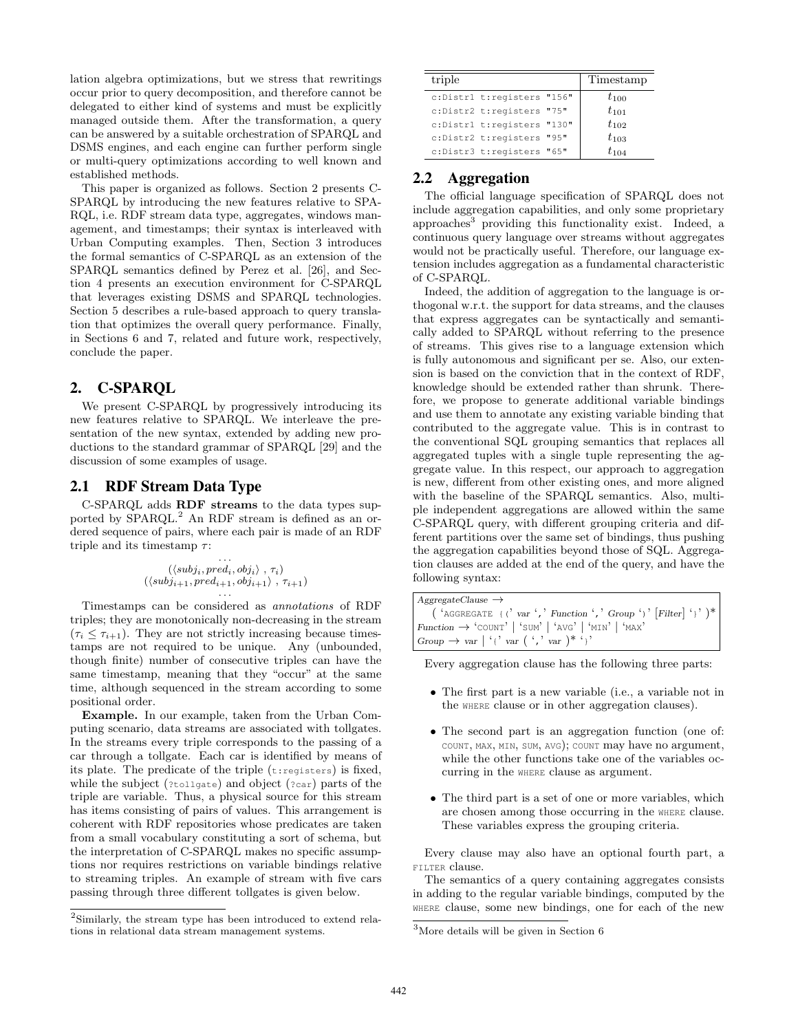lation algebra optimizations, but we stress that rewritings occur prior to query decomposition, and therefore cannot be delegated to either kind of systems and must be explicitly managed outside them. After the transformation, a query can be answered by a suitable orchestration of SPARQL and DSMS engines, and each engine can further perform single or multi-query optimizations according to well known and established methods.

This paper is organized as follows. Section 2 presents C-SPARQL by introducing the new features relative to SPA-RQL, i.e. RDF stream data type, aggregates, windows management, and timestamps; their syntax is interleaved with Urban Computing examples. Then, Section 3 introduces the formal semantics of C-SPARQL as an extension of the SPARQL semantics defined by Perez et al. [26], and Section 4 presents an execution environment for C-SPARQL that leverages existing DSMS and SPARQL technologies. Section 5 describes a rule-based approach to query translation that optimizes the overall query performance. Finally, in Sections 6 and 7, related and future work, respectively, conclude the paper.

## 2. C-SPARQL

We present C-SPARQL by progressively introducing its new features relative to SPARQL. We interleave the presentation of the new syntax, extended by adding new productions to the standard grammar of SPARQL [29] and the discussion of some examples of usage.

## 2.1 RDF Stream Data Type

C-SPARQL adds RDF streams to the data types supported by SPARQL.<sup>2</sup> An RDF stream is defined as an ordered sequence of pairs, where each pair is made of an RDF triple and its timestamp  $\tau$ :

$$
\dots \n(\langle subj_i, pred_i, obj_i \rangle, \tau_i)\n(\langle subj_{i+1}, pred_{i+1}, obj_{i+1} \rangle, \tau_{i+1})\n...
$$

Timestamps can be considered as annotations of RDF triples; they are monotonically non-decreasing in the stream  $(\tau_i \leq \tau_{i+1})$ . They are not strictly increasing because timestamps are not required to be unique. Any (unbounded, though finite) number of consecutive triples can have the same timestamp, meaning that they "occur" at the same time, although sequenced in the stream according to some positional order.

Example. In our example, taken from the Urban Computing scenario, data streams are associated with tollgates. In the streams every triple corresponds to the passing of a car through a tollgate. Each car is identified by means of its plate. The predicate of the triple (t:registers) is fixed, while the subject (?tollgate) and object (?car) parts of the triple are variable. Thus, a physical source for this stream has items consisting of pairs of values. This arrangement is coherent with RDF repositories whose predicates are taken from a small vocabulary constituting a sort of schema, but the interpretation of C-SPARQL makes no specific assumptions nor requires restrictions on variable bindings relative to streaming triples. An example of stream with five cars passing through three different tollgates is given below.

| triple                       | Timestamp |
|------------------------------|-----------|
| c: Distr1 t: registers "156" | $t_{100}$ |
| c: Distr2 t: registers "75"  | $t_{101}$ |
| c: Distr1 t: registers "130" | $t_{102}$ |
| c: Distr2 t: registers "95"  | $t_{103}$ |
| c: Distr3 t: registers "65"  | $t_{104}$ |

#### 2.2 Aggregation

The official language specification of SPARQL does not include aggregation capabilities, and only some proprietary approaches<sup>3</sup> providing this functionality exist. Indeed, a continuous query language over streams without aggregates would not be practically useful. Therefore, our language extension includes aggregation as a fundamental characteristic of C-SPARQL.

Indeed, the addition of aggregation to the language is orthogonal w.r.t. the support for data streams, and the clauses that express aggregates can be syntactically and semantically added to SPARQL without referring to the presence of streams. This gives rise to a language extension which is fully autonomous and significant per se. Also, our extension is based on the conviction that in the context of RDF, knowledge should be extended rather than shrunk. Therefore, we propose to generate additional variable bindings and use them to annotate any existing variable binding that contributed to the aggregate value. This is in contrast to the conventional SQL grouping semantics that replaces all aggregated tuples with a single tuple representing the aggregate value. In this respect, our approach to aggregation is new, different from other existing ones, and more aligned with the baseline of the SPARQL semantics. Also, multiple independent aggregations are allowed within the same C-SPARQL query, with different grouping criteria and different partitions over the same set of bindings, thus pushing the aggregation capabilities beyond those of SQL. Aggregation clauses are added at the end of the query, and have the following syntax:

 $\overline{AggregateCluster}$ ( 'AGGREGATE {(' var ',' Function ',' Group ')' [Filter] '}' )\*  $Function \rightarrow 'COUNT' | 'SUM' | 'AVG' | 'MIN' | 'MAX'$ Group  $\rightarrow$  var  $| \nmid$   $\mathbb{R}^2$  var  $( \nmid \cdot \cdot \cdot \text{var } )^* \nmid$ 

Every aggregation clause has the following three parts:

- The first part is a new variable (i.e., a variable not in the WHERE clause or in other aggregation clauses).
- The second part is an aggregation function (one of: COUNT, MAX, MIN, SUM, AVG); COUNT may have no argument, while the other functions take one of the variables occurring in the WHERE clause as argument.
- The third part is a set of one or more variables, which are chosen among those occurring in the WHERE clause. These variables express the grouping criteria.

Every clause may also have an optional fourth part, a FILTER clause.

The semantics of a query containing aggregates consists in adding to the regular variable bindings, computed by the WHERE clause, some new bindings, one for each of the new

<sup>&</sup>lt;sup>2</sup>Similarly, the stream type has been introduced to extend relations in relational data stream management systems.

<sup>3</sup>More details will be given in Section 6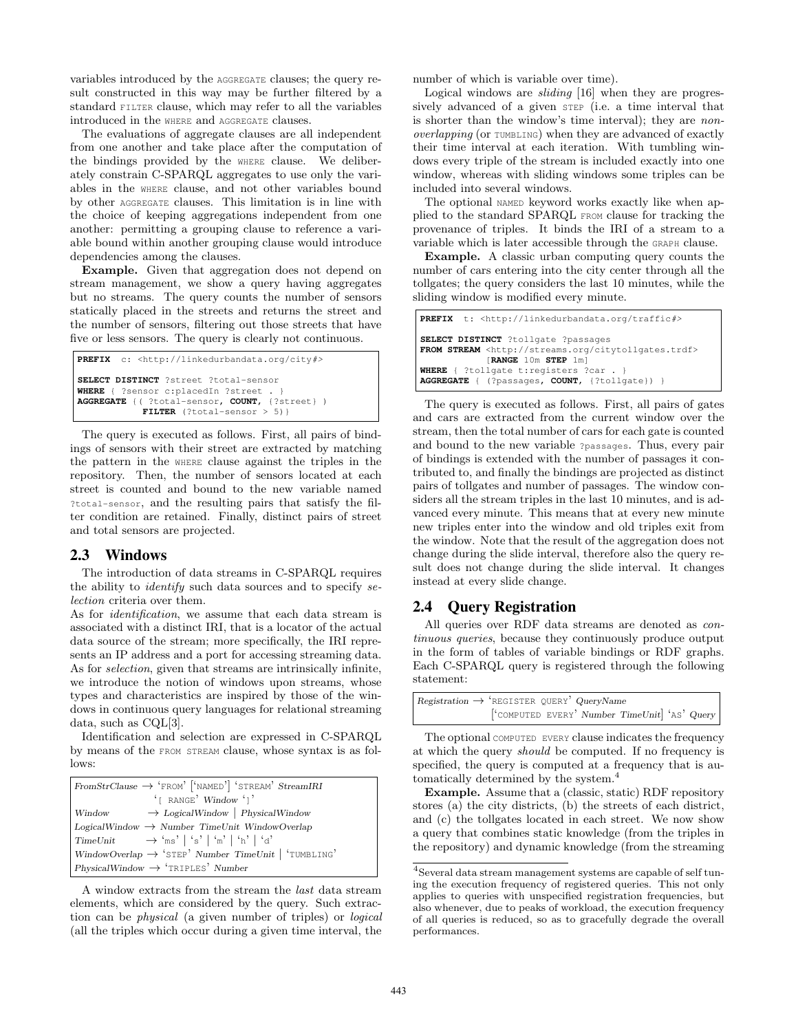variables introduced by the AGGREGATE clauses; the query result constructed in this way may be further filtered by a standard FILTER clause, which may refer to all the variables introduced in the WHERE and AGGREGATE clauses.

The evaluations of aggregate clauses are all independent from one another and take place after the computation of the bindings provided by the WHERE clause. We deliberately constrain C-SPARQL aggregates to use only the variables in the WHERE clause, and not other variables bound by other AGGREGATE clauses. This limitation is in line with the choice of keeping aggregations independent from one another: permitting a grouping clause to reference a variable bound within another grouping clause would introduce dependencies among the clauses.

Example. Given that aggregation does not depend on stream management, we show a query having aggregates but no streams. The query counts the number of sensors statically placed in the streets and returns the street and the number of sensors, filtering out those streets that have five or less sensors. The query is clearly not continuous.

```
PREFIX c: <http://linkedurbandata.org/city#>
SELECT DISTINCT ?street ?total-sensor
WHERE { ?sensor c:placedIn ?street
AGGREGATE {( ?total-sensor, COUNT, {?street} )
           FILTER (?total-sensor > 5)}
```
The query is executed as follows. First, all pairs of bindings of sensors with their street are extracted by matching the pattern in the WHERE clause against the triples in the repository. Then, the number of sensors located at each street is counted and bound to the new variable named ?total-sensor, and the resulting pairs that satisfy the filter condition are retained. Finally, distinct pairs of street and total sensors are projected.

#### 2.3 Windows

The introduction of data streams in C-SPARQL requires the ability to identify such data sources and to specify selection criteria over them.

As for identification, we assume that each data stream is associated with a distinct IRI, that is a locator of the actual data source of the stream; more specifically, the IRI represents an IP address and a port for accessing streaming data. As for selection, given that streams are intrinsically infinite, we introduce the notion of windows upon streams, whose types and characteristics are inspired by those of the windows in continuous query languages for relational streaming data, such as CQL[3].

Identification and selection are expressed in C-SPARQL by means of the FROM STREAM clause, whose syntax is as follows:

| $From StrClause \rightarrow 'FROM'$ ['NAMED'] 'STREAM' StreamIRI |  |  |  |  |
|------------------------------------------------------------------|--|--|--|--|
| $'$ [ RANGE' Window ']'                                          |  |  |  |  |
| $\rightarrow$ LogicalWindow   PhysicalWindow<br>Window           |  |  |  |  |
| $LogicalWindow \rightarrow Number TimeUnit WindowOverlap$        |  |  |  |  |
| TimeUnit $\rightarrow$ 'ms'   's'   'm'   'h'   'd'              |  |  |  |  |
| $WindowOverlap \rightarrow 'STEP' Number TimeUnit   'TUMBLING'$  |  |  |  |  |
| $PhysicalWindow \rightarrow 'IRIPLES' Number$                    |  |  |  |  |

A window extracts from the stream the last data stream elements, which are considered by the query. Such extraction can be physical (a given number of triples) or logical (all the triples which occur during a given time interval, the

number of which is variable over time).

Logical windows are *sliding* [16] when they are progressively advanced of a given STEP (i.e. a time interval that is shorter than the window's time interval); they are nonoverlapping (or TUMBLING) when they are advanced of exactly their time interval at each iteration. With tumbling windows every triple of the stream is included exactly into one window, whereas with sliding windows some triples can be included into several windows.

The optional NAMED keyword works exactly like when applied to the standard SPARQL FROM clause for tracking the provenance of triples. It binds the IRI of a stream to a variable which is later accessible through the GRAPH clause.

Example. A classic urban computing query counts the number of cars entering into the city center through all the tollgates; the query considers the last 10 minutes, while the sliding window is modified every minute.

| <b>PREFIX</b> t: <http: linkedurbandata.org="" traffic#=""></http:>                                                             |
|---------------------------------------------------------------------------------------------------------------------------------|
| SELECT DISTINCT ?tollgate ?passages<br>FROM STREAM <http: citytollgates.trdf="" streams.org=""><br/>[RANGE 10m STEP 1m]</http:> |
| <b>WHERE</b> { ?tollgate t:registers ?car . }<br>AGGREGATE { (?passages, COUNT, {?tollgate}) }                                  |

The query is executed as follows. First, all pairs of gates and cars are extracted from the current window over the stream, then the total number of cars for each gate is counted and bound to the new variable ?passages. Thus, every pair of bindings is extended with the number of passages it contributed to, and finally the bindings are projected as distinct pairs of tollgates and number of passages. The window considers all the stream triples in the last 10 minutes, and is advanced every minute. This means that at every new minute new triples enter into the window and old triples exit from the window. Note that the result of the aggregation does not change during the slide interval, therefore also the query result does not change during the slide interval. It changes instead at every slide change.

#### 2.4 Query Registration

All queries over RDF data streams are denoted as continuous queries, because they continuously produce output in the form of tables of variable bindings or RDF graphs. Each C-SPARQL query is registered through the following statement:

| $Registribution \rightarrow 'REGISTER \, QUERV' \, QuervName$ |                                                               |  |  |  |
|---------------------------------------------------------------|---------------------------------------------------------------|--|--|--|
|                                                               | $\left[$ COMPUTED EVERY' Number TimeUnit $\right]$ 'AS' Query |  |  |  |

The optional COMPUTED EVERY clause indicates the frequency at which the query should be computed. If no frequency is specified, the query is computed at a frequency that is automatically determined by the system.<sup>4</sup>

Example. Assume that a (classic, static) RDF repository stores (a) the city districts, (b) the streets of each district, and (c) the tollgates located in each street. We now show a query that combines static knowledge (from the triples in the repository) and dynamic knowledge (from the streaming

<sup>&</sup>lt;sup>4</sup>Several data stream management systems are capable of self tuning the execution frequency of registered queries. This not only applies to queries with unspecified registration frequencies, but also whenever, due to peaks of workload, the execution frequency of all queries is reduced, so as to gracefully degrade the overall performances.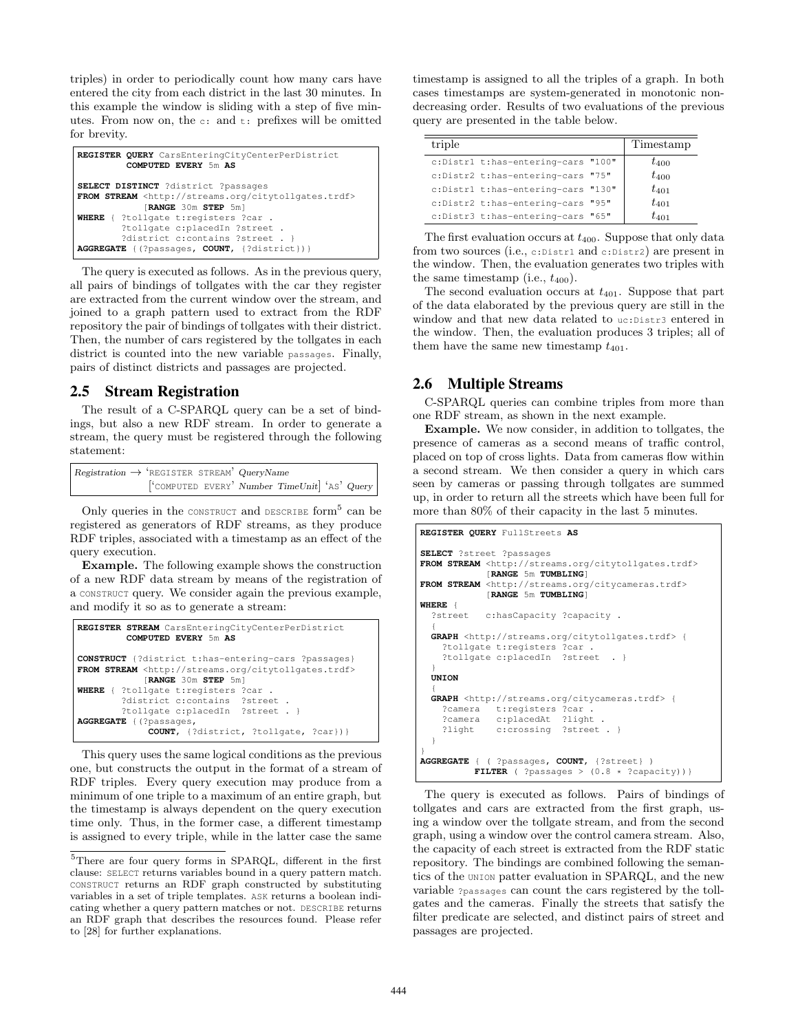triples) in order to periodically count how many cars have entered the city from each district in the last 30 minutes. In this example the window is sliding with a step of five minutes. From now on, the  $c:$  and  $t:$  prefixes will be omitted for brevity.

```
REGISTER QUERY CarsEnteringCityCenterPerDistrict
         COMPUTED EVERY 5m AS
SELECT DISTINCT ?district ?passages
FROM STREAM <http://streams.org/citytollgates.trdf>
            [RANGE 30m STEP 5m]
WHERE { ?tollgate t:registers ?car
        ?tollgate c:placedIn ?street .
        ?district c:contains ?street . }
AGGREGATE {(?passages, COUNT, {?district})}
```
The query is executed as follows. As in the previous query, all pairs of bindings of tollgates with the car they register are extracted from the current window over the stream, and joined to a graph pattern used to extract from the RDF repository the pair of bindings of tollgates with their district. Then, the number of cars registered by the tollgates in each district is counted into the new variable passages. Finally, pairs of distinct districts and passages are projected.

## 2.5 Stream Registration

The result of a C-SPARQL query can be a set of bindings, but also a new RDF stream. In order to generate a stream, the query must be registered through the following statement:

```
Registration \rightarrow 'REGISTER STREAM' QueryName['COMPUTED EVERY' Number TimeUnit] 'AS' Query
```
Only queries in the CONSTRUCT and DESCRIBE form<sup>5</sup> can be registered as generators of RDF streams, as they produce RDF triples, associated with a timestamp as an effect of the query execution.

Example. The following example shows the construction of a new RDF data stream by means of the registration of a CONSTRUCT query. We consider again the previous example, and modify it so as to generate a stream:

```
REGISTER STREAM CarsEnteringCityCenterPerDistrict
         COMPUTED EVERY 5m AS
CONSTRUCT {?district t:has-entering-cars ?passages}
FROM STREAM <http://streams.org/citytollgates.trdf>
            [RANGE 30m STEP 5m]
WHERE { ?tollgate t:registers ?car .
        ?district c:contains ?street
        ?tollgate c:placedIn ?street . }
AGGREGATE {(?passages,
             COUNT, {?district, ?tollgate, ?car})}
```
This query uses the same logical conditions as the previous one, but constructs the output in the format of a stream of RDF triples. Every query execution may produce from a minimum of one triple to a maximum of an entire graph, but the timestamp is always dependent on the query execution time only. Thus, in the former case, a different timestamp is assigned to every triple, while in the latter case the same timestamp is assigned to all the triples of a graph. In both cases timestamps are system-generated in monotonic nondecreasing order. Results of two evaluations of the previous query are presented in the table below.

| triple                               |              | Timestamp |
|--------------------------------------|--------------|-----------|
| c: Distr1 t: has-entering-cars "100" |              | $t_{400}$ |
| c: Distr2 t: has-entering-cars "75"  |              | $t_{400}$ |
| c: Distr1 t: has-entering-cars "130" |              | $t_{401}$ |
| c:Distr2 t:has-entering-cars         | <b>"</b> 95" | $t_{401}$ |
| c:Distr3 t:has-entering-cars "65"    |              | $t_{A01}$ |

The first evaluation occurs at  $t_{400}$ . Suppose that only data from two sources (i.e., c:Distr1 and c:Distr2) are present in the window. Then, the evaluation generates two triples with the same timestamp (i.e.,  $t_{400}$ ).

The second evaluation occurs at  $t_{401}$ . Suppose that part of the data elaborated by the previous query are still in the window and that new data related to uc:Distr3 entered in the window. Then, the evaluation produces 3 triples; all of them have the same new timestamp  $t_{401}$ .

## 2.6 Multiple Streams

C-SPARQL queries can combine triples from more than one RDF stream, as shown in the next example.

Example. We now consider, in addition to tollgates, the presence of cameras as a second means of traffic control, placed on top of cross lights. Data from cameras flow within a second stream. We then consider a query in which cars seen by cameras or passing through tollgates are summed up, in order to return all the streets which have been full for more than 80% of their capacity in the last 5 minutes.

```
REGISTER QUERY FullStreets AS
SELECT ?street ?passages
FROM STREAM <http://streams.org/citytollgates.trdf>
              [RANGE 5m TUMBLING]
FROM STREAM <http://streams.org/citycameras.trdf>
             [RANGE 5m TUMBLING]
WHERE {
  ?street c:hasCapacity ?capacity .
  {
  GRAPH <http://streams.org/citytollgates.trdf> {
    ?tollgate t:registers ?car .
    ?tollgate c:placedIn ?street
  }
  UNION
  {
  GRAPH <http://streams.org/citycameras.trdf> {<br>?camera t:registers ?car .
    ?camera t:registers ?car .<br>?camera c:placedAt ?light
               c:placedAt ?light
    ?light c:crossing ?street . }
  }
}
AGGREGATE { ( ?passages, COUNT, {?street} )
           FILTER ( ?passages > (0.8 \times ?\text{capacity}) }
```
The query is executed as follows. Pairs of bindings of tollgates and cars are extracted from the first graph, using a window over the tollgate stream, and from the second graph, using a window over the control camera stream. Also, the capacity of each street is extracted from the RDF static repository. The bindings are combined following the semantics of the UNION patter evaluation in SPARQL, and the new variable ?passages can count the cars registered by the tollgates and the cameras. Finally the streets that satisfy the filter predicate are selected, and distinct pairs of street and passages are projected.

 $5$ There are four query forms in SPARQL, different in the first clause: SELECT returns variables bound in a query pattern match. CONSTRUCT returns an RDF graph constructed by substituting variables in a set of triple templates. ASK returns a boolean indicating whether a query pattern matches or not. DESCRIBE returns an RDF graph that describes the resources found. Please refer to [28] for further explanations.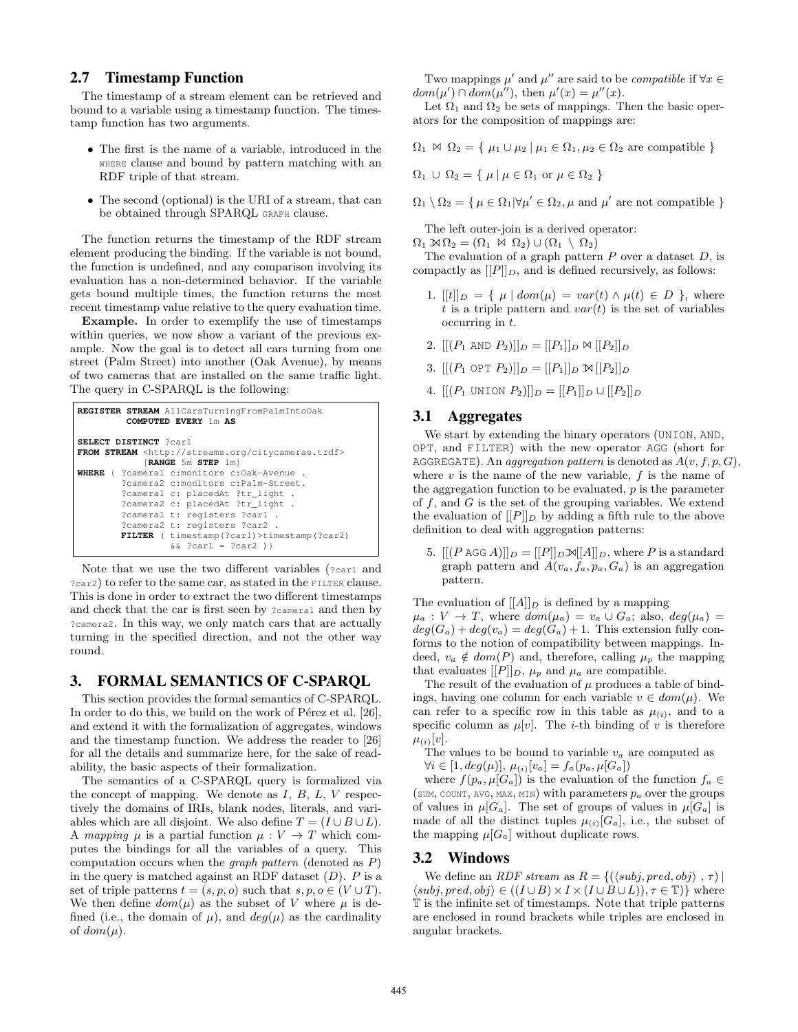#### 2.7 Timestamp Function

The timestamp of a stream element can be retrieved and bound to a variable using a timestamp function. The timestamp function has two arguments.

- The first is the name of a variable, introduced in the WHERE clause and bound by pattern matching with an RDF triple of that stream.
- The second (optional) is the URI of a stream, that can be obtained through SPARQL GRAPH clause.

The function returns the timestamp of the RDF stream element producing the binding. If the variable is not bound, the function is undefined, and any comparison involving its evaluation has a non-determined behavior. If the variable gets bound multiple times, the function returns the most recent timestamp value relative to the query evaluation time.

Example. In order to exemplify the use of timestamps within queries, we now show a variant of the previous example. Now the goal is to detect all cars turning from one street (Palm Street) into another (Oak Avenue), by means of two cameras that are installed on the same traffic light. The query in C-SPARQL is the following:

| REGISTER STREAM AllCarsTurningFromPalmIntoOak<br><b>COMPUTED EVERY 1m AS</b> |  |  |  |  |  |
|------------------------------------------------------------------------------|--|--|--|--|--|
| SELECT DISTINCT ?car1                                                        |  |  |  |  |  |
| FROM STREAM <http: citycameras.trdf="" streams.org=""></http:>               |  |  |  |  |  |
| <b>FRANGE 5m STEP 1ml</b>                                                    |  |  |  |  |  |
| <b>WHERE</b> { ?cameral c:monitors c:Oak-Avenue .                            |  |  |  |  |  |
| ?camera2 c:monitors c:Palm-Street.                                           |  |  |  |  |  |
| ?cameral c: placedAt ?tr_light .                                             |  |  |  |  |  |
| ?camera2 c: placedAt ?tr light .                                             |  |  |  |  |  |
| ?cameral t: registers ?carl .                                                |  |  |  |  |  |
| ?camera2 t: registers ?car2 .                                                |  |  |  |  |  |
| <b>FILTER</b> ( timestamp (?car1) > timestamp (?car2)                        |  |  |  |  |  |
| $&$ ?carl = ?car2 ) }                                                        |  |  |  |  |  |

Note that we use the two different variables (?car1 and ?car2) to refer to the same car, as stated in the FILTER clause. This is done in order to extract the two different timestamps and check that the car is first seen by ?camera1 and then by ?camera2. In this way, we only match cars that are actually turning in the specified direction, and not the other way round.

# 3. FORMAL SEMANTICS OF C-SPARQL

This section provides the formal semantics of C-SPARQL. In order to do this, we build on the work of Pérez et al. [26], and extend it with the formalization of aggregates, windows and the timestamp function. We address the reader to [26] for all the details and summarize here, for the sake of readability, the basic aspects of their formalization.

The semantics of a C-SPARQL query is formalized via the concept of mapping. We denote as  $I, B, L, V$  respectively the domains of IRIs, blank nodes, literals, and variables which are all disjoint. We also define  $T = (I \cup B \cup L)$ . A mapping  $\mu$  is a partial function  $\mu: V \to T$  which computes the bindings for all the variables of a query. This computation occurs when the *graph pattern* (denoted as  $P$ ) in the query is matched against an RDF dataset  $(D)$ . P is a set of triple patterns  $t = (s, p, o)$  such that  $s, p, o \in (V \cup T)$ . We then define  $dom(\mu)$  as the subset of V where  $\mu$  is defined (i.e., the domain of  $\mu$ ), and  $deg(\mu)$  as the cardinality of  $dom(\mu)$ .

Two mappings  $\mu'$  and  $\mu''$  are said to be *compatible* if  $\forall x \in$  $dom(\mu') \cap dom(\mu'')$ , then  $\mu'(x) = \mu''(x)$ .

Let  $\Omega_1$  and  $\Omega_2$  be sets of mappings. Then the basic operators for the composition of mappings are:

$$
\Omega_1 \bowtie \Omega_2 = \{ \mu_1 \cup \mu_2 \mid \mu_1 \in \Omega_1, \mu_2 \in \Omega_2 \text{ are compatible } \}
$$

 $\Omega_1 \cup \Omega_2 = \{ \mu \mid \mu \in \Omega_1 \text{ or } \mu \in \Omega_2 \}$ 

 $\Omega_1 \setminus \Omega_2 = \{ \mu \in \Omega_1 | \forall \mu' \in \Omega_2, \mu \text{ and } \mu' \text{ are not compatible } \}$ 

The left outer-join is a derived operator:

 $\Omega_1 \boxtimes \Omega_2 = (\Omega_1 \boxtimes \Omega_2) \cup (\Omega_1 \setminus \Omega_2)$ 

The evaluation of a graph pattern  $P$  over a dataset  $D$ , is compactly as  $[|P|]_D$ , and is defined recursively, as follows:

- 1.  $[[t]]_D = \{ \mu \mid dom(\mu) = var(t) \land \mu(t) \in D \}$ , where t is a triple pattern and  $var(t)$  is the set of variables occurring in t.
- 2.  $[[ (P_1 \text{ AND } P_2)]]_D = [[P_1]]_D \bowtie [[P_2]]_D$
- 3.  $[|(P_1 \text{ OPT } P_2)||_D = |[P_1||_D \boxtimes |[P_2||_D]$
- 4.  $[[ (P_1 \text{ UNION } P_2)]]_D = [[P_1]]_D \cup [[P_2]]_D$

## 3.1 Aggregates

We start by extending the binary operators (UNION, AND, OPT, and FILTER) with the new operator AGG (short for AGGREGATE). An *aggregation pattern* is denoted as  $A(v, f, p, G)$ , where  $v$  is the name of the new variable,  $f$  is the name of the aggregation function to be evaluated,  $p$  is the parameter of  $f$ , and  $G$  is the set of the grouping variables. We extend the evaluation of  $[[P]]_D$  by adding a fifth rule to the above definition to deal with aggregation patterns:

5.  $[[(P \text{ AGG } A)]]_D = [[P]]_D \mathbb{M}[[A]]_D$ , where P is a standard graph pattern and  $A(v_a, f_a, p_a, G_a)$  is an aggregation pattern.

The evaluation of  $[[A]]_D$  is defined by a mapping  $\mu_a: V \to T$ , where  $dom(\mu_a) = v_a \cup G_a$ ; also,  $deg(\mu_a) =$  $deg(G_a) + deg(v_a) = deg(G_a) + 1$ . This extension fully conforms to the notion of compatibility between mappings. Indeed,  $v_a \notin dom(P)$  and, therefore, calling  $\mu_p$  the mapping that evaluates  $[[P]]_D$ ,  $\mu_p$  and  $\mu_a$  are compatible.

The result of the evaluation of  $\mu$  produces a table of bindings, having one column for each variable  $v \in dom(\mu)$ . We can refer to a specific row in this table as  $\mu_{(i)}$ , and to a specific column as  $\mu[v]$ . The *i*-th binding of *v* is therefore  $\mu_{(i)}[v].$ 

The values to be bound to variable  $v_a$  are computed as  $\forall i \in [1, deg(\mu)], \mu_{(i)}[v_a] = f_a(p_a, \mu[G_a])$ 

where  $f(p_a, \mu[G_a])$  is the evaluation of the function  $f_a \in$ (SUM, COUNT, AVG, MAX, MIN) with parameters  $p_a$  over the groups of values in  $\mu[G_a]$ . The set of groups of values in  $\mu[G_a]$  is made of all the distinct tuples  $\mu_{(i)}[G_a]$ , i.e., the subset of the mapping  $\mu[G_a]$  without duplicate rows.

#### 3.2 Windows

We define an *RDF stream* as  $R = \{(\langle subj, pred, obj \rangle, \tau) |$  $\langle subj, pred, obj \rangle \in ((I \cup B) \times I \times (I \cup B \cup L)), \tau \in \mathbb{T} \rangle$  where T is the infinite set of timestamps. Note that triple patterns are enclosed in round brackets while triples are enclosed in angular brackets.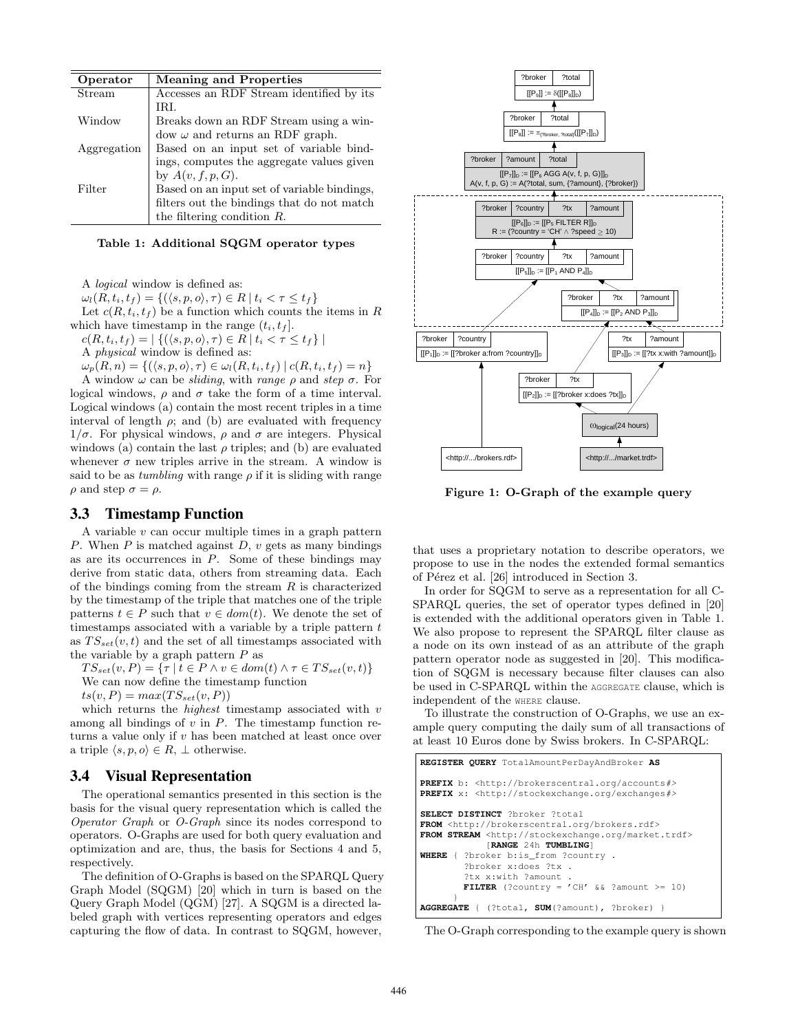| Operator    | <b>Meaning and Properties</b>               |  |  |  |
|-------------|---------------------------------------------|--|--|--|
| Stream      | Accesses an RDF Stream identified by its    |  |  |  |
|             | IRI.                                        |  |  |  |
| Window      | Breaks down an RDF Stream using a win-      |  |  |  |
|             | dow $\omega$ and returns an RDF graph.      |  |  |  |
| Aggregation | Based on an input set of variable bind-     |  |  |  |
|             | ings, computes the aggregate values given   |  |  |  |
|             | by $A(v, f, p, G)$ .                        |  |  |  |
| Filter      | Based on an input set of variable bindings, |  |  |  |
|             | filters out the bindings that do not match  |  |  |  |
|             | the filtering condition $R$ .               |  |  |  |

Table 1: Additional SQGM operator types

A logical window is defined as:

 $\omega_l(R, t_i, t_f) = \{ (\langle s, p, o \rangle, \tau) \in R \mid t_i < \tau \leq t_f \}$ 

Let  $c(R, t_i, t_f)$  be a function which counts the items in R which have timestamp in the range  $(t_i, t_f)$ .

 $c(R, t_i, t_f) = |\{ (\langle s, p, o \rangle, \tau) \in R \mid t_i < \tau \leq t_f \}|$ 

A physical window is defined as:

 $\omega_p(R,n) = \{ (\langle s, p, o \rangle, \tau) \in \omega_l(R, t_i, t_f) \mid c(R, t_i, t_f) = n \}$ 

A window  $\omega$  can be *sliding*, with *range*  $\rho$  and *step*  $\sigma$ . For logical windows,  $\rho$  and  $\sigma$  take the form of a time interval. Logical windows (a) contain the most recent triples in a time interval of length  $\rho$ ; and (b) are evaluated with frequency  $1/\sigma$ . For physical windows,  $\rho$  and  $\sigma$  are integers. Physical windows (a) contain the last  $\rho$  triples; and (b) are evaluated whenever  $\sigma$  new triples arrive in the stream. A window is said to be as tumbling with range  $\rho$  if it is sliding with range  $\rho$  and step  $\sigma = \rho$ .

#### 3.3 Timestamp Function

A variable  $v$  can occur multiple times in a graph pattern P. When  $P$  is matched against  $D$ ,  $v$  gets as many bindings as are its occurrences in  $P$ . Some of these bindings may derive from static data, others from streaming data. Each of the bindings coming from the stream  $R$  is characterized by the timestamp of the triple that matches one of the triple patterns  $t \in P$  such that  $v \in dom(t)$ . We denote the set of timestamps associated with a variable by a triple pattern  $t$ as  $TS_{set}(v, t)$  and the set of all timestamps associated with the variable by a graph pattern  ${\cal P}$  as

 $TS_{set}(v, P) = \{\tau \mid t \in P \land v \in dom(t) \land \tau \in TS_{set}(v, t)\}\$ 

We can now define the timestamp function

 $ts(v, P) = max(TS_{set}(v, P))$ 

which returns the *highest* timestamp associated with  $v$ among all bindings of  $v$  in  $P$ . The timestamp function returns a value only if v has been matched at least once over a triple  $\langle s, p, o \rangle \in R$ ,  $\perp$  otherwise.

#### 3.4 Visual Representation

The operational semantics presented in this section is the basis for the visual query representation which is called the Operator Graph or O-Graph since its nodes correspond to operators. O-Graphs are used for both query evaluation and optimization and are, thus, the basis for Sections 4 and 5, respectively.

The definition of O-Graphs is based on the SPARQL Query Graph Model (SQGM) [20] which in turn is based on the Query Graph Model (QGM) [27]. A SQGM is a directed labeled graph with vertices representing operators and edges capturing the flow of data. In contrast to SQGM, however,



Figure 1: O-Graph of the example query

that uses a proprietary notation to describe operators, we propose to use in the nodes the extended formal semantics of Pérez et al. [26] introduced in Section 3.

In order for SQGM to serve as a representation for all C-SPARQL queries, the set of operator types defined in [20] is extended with the additional operators given in Table 1. We also propose to represent the SPARQL filter clause as a node on its own instead of as an attribute of the graph pattern operator node as suggested in [20]. This modification of SQGM is necessary because filter clauses can also be used in C-SPARQL within the AGGREGATE clause, which is independent of the WHERE clause.

To illustrate the construction of O-Graphs, we use an example query computing the daily sum of all transactions of at least 10 Euros done by Swiss brokers. In C-SPARQL:

```
REGISTER QUERY TotalAmountPerDayAndBroker AS
PREFIX b: <http://brokerscentral.org/accounts#>
PREFIX x: <http://stockexchange.org/exchanges#>
SELECT DISTINCT ?broker ?total
FROM <http://brokerscentral.org/brokers.rdf>
FROM STREAM <http://stockexchange.org/market.trdf>
            [RANGE 24h TUMBLING]
WHERE { ?broker b:is_from ?country .
        ?broker x:does ?tx .
        ?tx x:with ?amount .
       FILTER (?country = 'CH' && ?amount >= 10)
      }
AGGREGATE { (?total, SUM(?amount), ?broker) }
```
The O-Graph corresponding to the example query is shown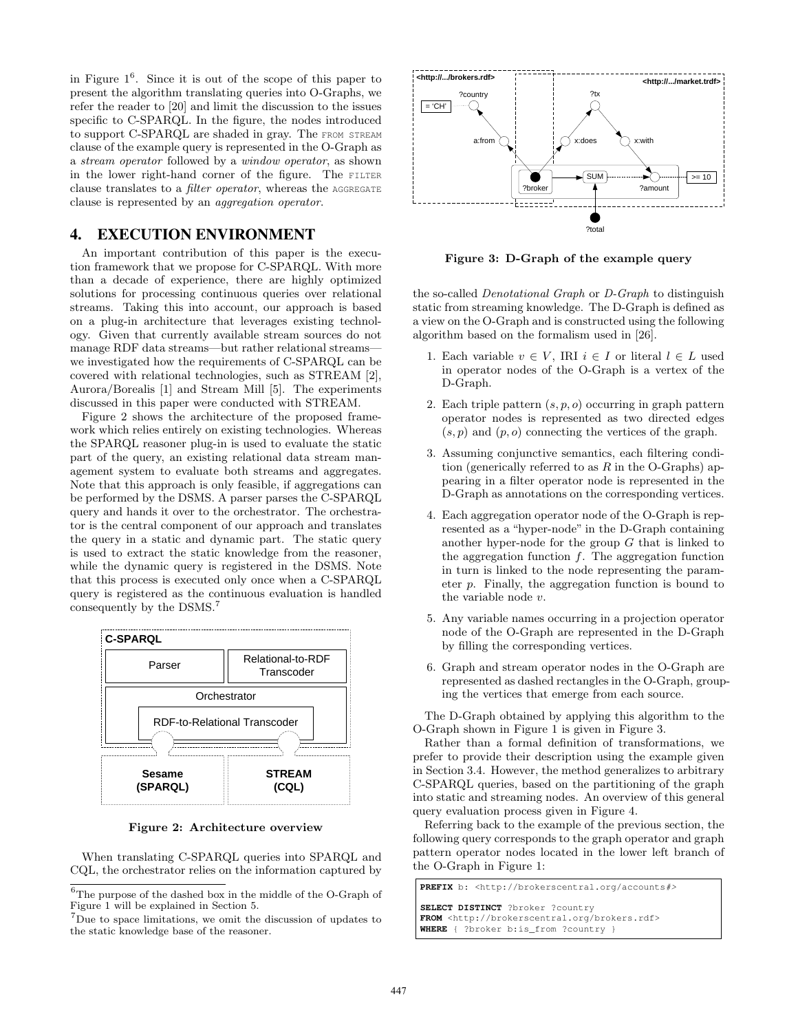in Figure  $1^6$ . Since it is out of the scope of this paper to present the algorithm translating queries into O-Graphs, we refer the reader to [20] and limit the discussion to the issues specific to C-SPARQL. In the figure, the nodes introduced to support C-SPARQL are shaded in gray. The FROM STREAM clause of the example query is represented in the O-Graph as a stream operator followed by a window operator, as shown in the lower right-hand corner of the figure. The FILTER clause translates to a filter operator, whereas the AGGREGATE clause is represented by an aggregation operator.

# 4. EXECUTION ENVIRONMENT

An important contribution of this paper is the execution framework that we propose for C-SPARQL. With more than a decade of experience, there are highly optimized solutions for processing continuous queries over relational streams. Taking this into account, our approach is based on a plug-in architecture that leverages existing technology. Given that currently available stream sources do not manage RDF data streams—but rather relational streams we investigated how the requirements of C-SPARQL can be covered with relational technologies, such as STREAM [2], Aurora/Borealis [1] and Stream Mill [5]. The experiments discussed in this paper were conducted with STREAM.

Figure 2 shows the architecture of the proposed framework which relies entirely on existing technologies. Whereas the SPARQL reasoner plug-in is used to evaluate the static part of the query, an existing relational data stream management system to evaluate both streams and aggregates. Note that this approach is only feasible, if aggregations can be performed by the DSMS. A parser parses the C-SPARQL query and hands it over to the orchestrator. The orchestrator is the central component of our approach and translates the query in a static and dynamic part. The static query is used to extract the static knowledge from the reasoner, while the dynamic query is registered in the DSMS. Note that this process is executed only once when a C-SPARQL query is registered as the continuous evaluation is handled consequently by the DSMS.<sup>7</sup>



Figure 2: Architecture overview

When translating C-SPARQL queries into SPARQL and CQL, the orchestrator relies on the information captured by



Figure 3: D-Graph of the example query

the so-called Denotational Graph or D-Graph to distinguish static from streaming knowledge. The D-Graph is defined as a view on the O-Graph and is constructed using the following algorithm based on the formalism used in [26].

- 1. Each variable  $v \in V$ , IRI  $i \in I$  or literal  $l \in L$  used in operator nodes of the O-Graph is a vertex of the D-Graph.
- 2. Each triple pattern  $(s, p, o)$  occurring in graph pattern operator nodes is represented as two directed edges  $(s, p)$  and  $(p, o)$  connecting the vertices of the graph.
- 3. Assuming conjunctive semantics, each filtering condition (generically referred to as  $R$  in the O-Graphs) appearing in a filter operator node is represented in the D-Graph as annotations on the corresponding vertices.
- 4. Each aggregation operator node of the O-Graph is represented as a "hyper-node" in the D-Graph containing another hyper-node for the group  $G$  that is linked to the aggregation function  $f$ . The aggregation function in turn is linked to the node representing the parameter p. Finally, the aggregation function is bound to the variable node v.
- 5. Any variable names occurring in a projection operator node of the O-Graph are represented in the D-Graph by filling the corresponding vertices.
- 6. Graph and stream operator nodes in the O-Graph are represented as dashed rectangles in the O-Graph, grouping the vertices that emerge from each source.

The D-Graph obtained by applying this algorithm to the O-Graph shown in Figure 1 is given in Figure 3.

Rather than a formal definition of transformations, we prefer to provide their description using the example given in Section 3.4. However, the method generalizes to arbitrary C-SPARQL queries, based on the partitioning of the graph into static and streaming nodes. An overview of this general query evaluation process given in Figure 4.

Referring back to the example of the previous section, the following query corresponds to the graph operator and graph pattern operator nodes located in the lower left branch of the O-Graph in Figure 1:

```
PREFIX b: <http://brokerscentral.org/accounts#>
SELECT DISTINCT ?broker ?country
FROM <http://brokerscentral.org/brokers.rdf>
```

```
WHERE { ?broker b:is_from ?country }
```
 $^6\mathrm{The}$  purpose of the dashed box in the middle of the O-Graph of Figure 1 will be explained in Section 5.

<sup>7</sup>Due to space limitations, we omit the discussion of updates to the static knowledge base of the reasoner.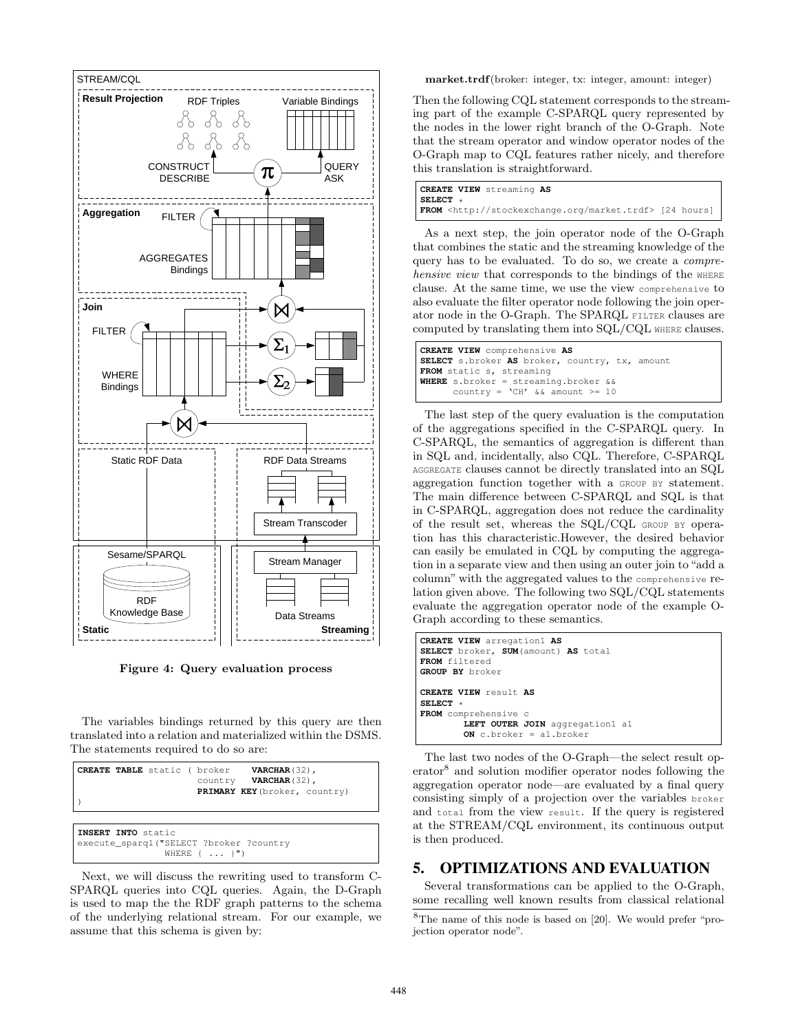

Figure 4: Query evaluation process

The variables bindings returned by this query are then translated into a relation and materialized within the DSMS. The statements required to do so are:



Next, we will discuss the rewriting used to transform C-SPARQL queries into CQL queries. Again, the D-Graph is used to map the the RDF graph patterns to the schema of the underlying relational stream. For our example, we assume that this schema is given by:

market.trdf (broker: integer, tx: integer, amount: integer)

Then the following CQL statement corresponds to the streaming part of the example C-SPARQL query represented by the nodes in the lower right branch of the O-Graph. Note that the stream operator and window operator nodes of the O-Graph map to CQL features rather nicely, and therefore this translation is straightforward.

|          | <b>CREATE VIEW</b> streaming AS                                     |  |  |  |
|----------|---------------------------------------------------------------------|--|--|--|
| SELECT * |                                                                     |  |  |  |
|          | FROM <http: market.trdf="" stockexchange.org=""> [24 hours]</http:> |  |  |  |

As a next step, the join operator node of the O-Graph that combines the static and the streaming knowledge of the query has to be evaluated. To do so, we create a comprehensive view that corresponds to the bindings of the WHERE clause. At the same time, we use the view comprehensive to also evaluate the filter operator node following the join operator node in the O-Graph. The SPARQL FILTER clauses are computed by translating them into SQL/CQL WHERE clauses.

| CREATE VIEW comprehensive AS                          |
|-------------------------------------------------------|
| <b>SELECT</b> s.broker AS broker, country, tx, amount |
| <b>FROM</b> static s, streaming                       |
| <b>WHERE</b> s.broker = streaming.broker $\&\&$       |
| country = $\text{CH}'$ & amount >= 10                 |

The last step of the query evaluation is the computation of the aggregations specified in the C-SPARQL query. In C-SPARQL, the semantics of aggregation is different than in SQL and, incidentally, also CQL. Therefore, C-SPARQL AGGREGATE clauses cannot be directly translated into an SQL aggregation function together with a GROUP BY statement. The main difference between C-SPARQL and SQL is that in C-SPARQL, aggregation does not reduce the cardinality of the result set, whereas the SQL/CQL GROUP BY operation has this characteristic.However, the desired behavior can easily be emulated in CQL by computing the aggregation in a separate view and then using an outer join to "add a column" with the aggregated values to the comprehensive relation given above. The following two SQL/CQL statements evaluate the aggregation operator node of the example O-Graph according to these semantics.

| <b>CREATE VIEW</b> arregation1 AS                                |
|------------------------------------------------------------------|
| SELECT broker, SUM (amount) AS total                             |
| FROM filtered                                                    |
| GROUP BY broker                                                  |
| <b>CREATE VIEW</b> result AS<br>SELECT *<br>FROM comprehensive c |
| LEFT OUTER JOIN aggregation1 a1<br>ON c.broker = $a1.broker$     |

The last two nodes of the O-Graph—the select result operator<sup>8</sup> and solution modifier operator nodes following the aggregation operator node—are evaluated by a final query consisting simply of a projection over the variables broker and total from the view result. If the query is registered at the STREAM/CQL environment, its continuous output is then produced.

# 5. OPTIMIZATIONS AND EVALUATION

Several transformations can be applied to the O-Graph, some recalling well known results from classical relational

<sup>8</sup>The name of this node is based on [20]. We would prefer "projection operator node".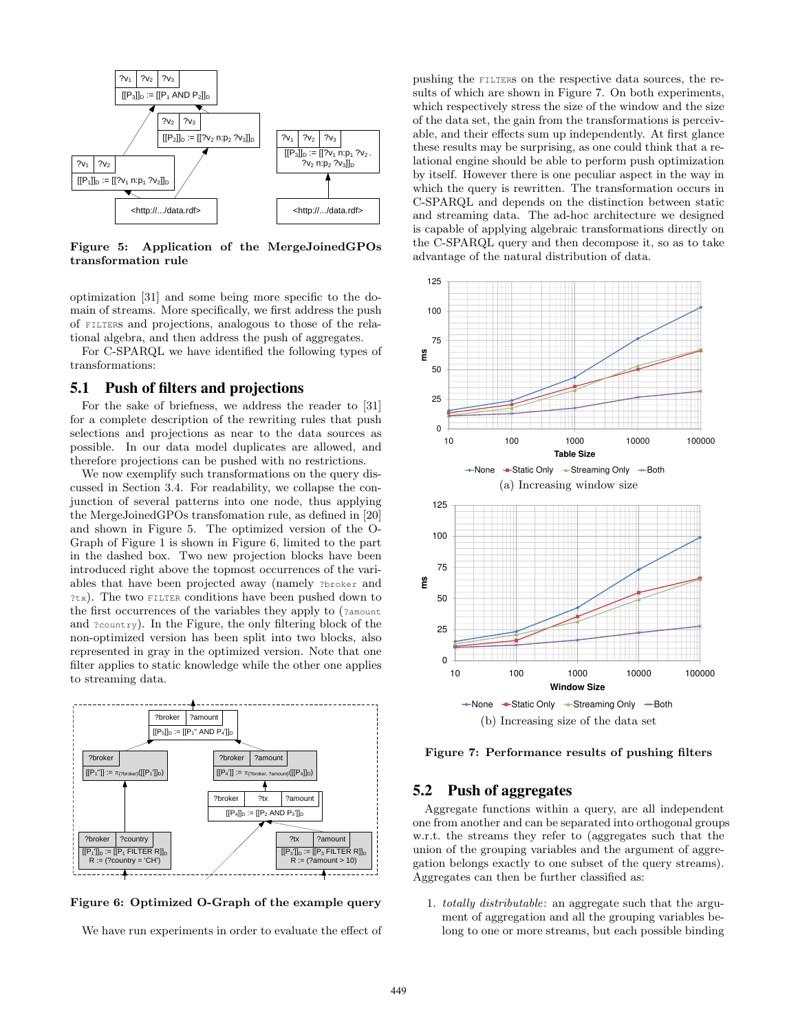

Figure 5: Application of the MergeJoinedGPOs transformation rule

optimization [31] and some being more specific to the domain of streams. More specifically, we first address the push of FILTERs and projections, analogous to those of the relational algebra, and then address the push of aggregates.

For C-SPARQL we have identified the following types of transformations:

#### 5.1 Push of filters and projections

For the sake of briefness, we address the reader to [31] for a complete description of the rewriting rules that push selections and projections as near to the data sources as possible. In our data model duplicates are allowed, and therefore projections can be pushed with no restrictions.

We now exemplify such transformations on the query discussed in Section 3.4. For readability, we collapse the conjunction of several patterns into one node, thus applying the MergeJoinedGPOs transfomation rule, as defined in [20] and shown in Figure 5. The optimized version of the O-Graph of Figure 1 is shown in Figure 6, limited to the part in the dashed box. Two new projection blocks have been introduced right above the topmost occurrences of the variables that have been projected away (namely ?broker and ?tx). The two FILTER conditions have been pushed down to the first occurrences of the variables they apply to (?amount and ?country). In the Figure, the only filtering block of the non-optimized version has been split into two blocks, also represented in gray in the optimized version. Note that one filter applies to static knowledge while the other one applies to streaming data.



Figure 6: Optimized O-Graph of the example query

We have run experiments in order to evaluate the effect of

pushing the FILTERs on the respective data sources, the results of which are shown in Figure 7. On both experiments, which respectively stress the size of the window and the size of the data set, the gain from the transformations is perceivable, and their effects sum up independently. At first glance these results may be surprising, as one could think that a relational engine should be able to perform push optimization by itself. However there is one peculiar aspect in the way in which the query is rewritten. The transformation occurs in C-SPARQL and depends on the distinction between static and streaming data. The ad-hoc architecture we designed is capable of applying algebraic transformations directly on the C-SPARQL query and then decompose it, so as to take advantage of the natural distribution of data.



Figure 7: Performance results of pushing filters

#### 5.2 Push of aggregates

Aggregate functions within a query, are all independent one from another and can be separated into orthogonal groups w.r.t. the streams they refer to (aggregates such that the union of the grouping variables and the argument of aggregation belongs exactly to one subset of the query streams). Aggregates can then be further classified as:

1. totally distributable: an aggregate such that the argument of aggregation and all the grouping variables belong to one or more streams, but each possible binding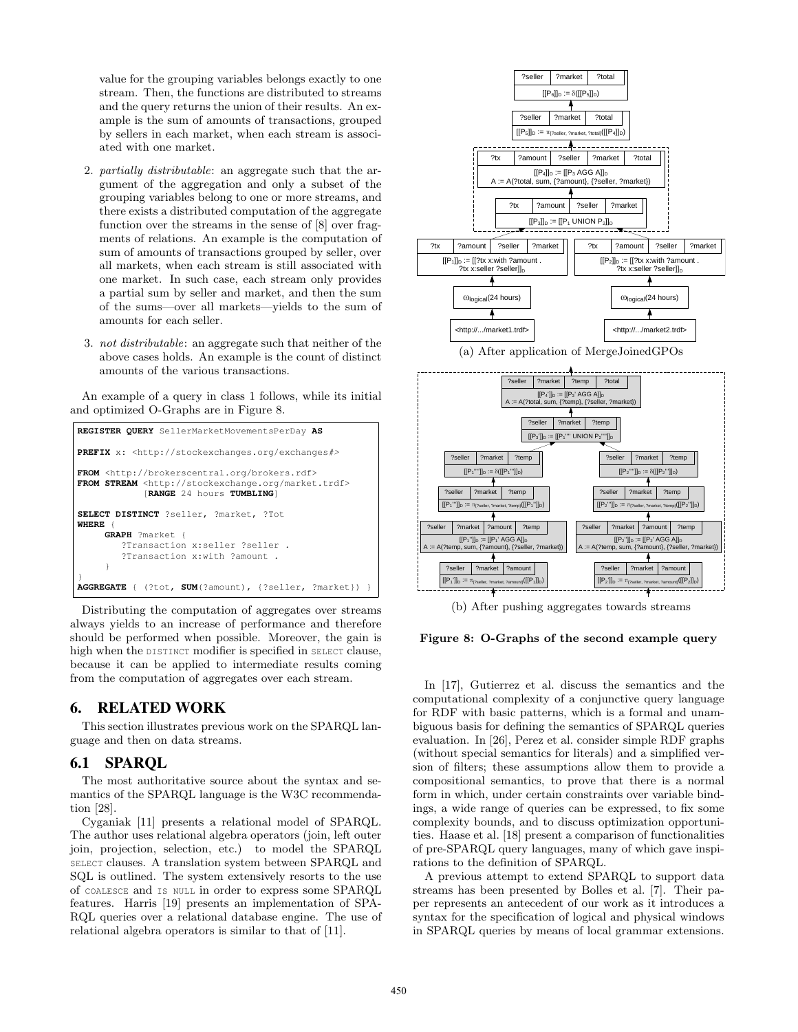value for the grouping variables belongs exactly to one stream. Then, the functions are distributed to streams and the query returns the union of their results. An example is the sum of amounts of transactions, grouped by sellers in each market, when each stream is associated with one market.

- 2. partially distributable: an aggregate such that the argument of the aggregation and only a subset of the grouping variables belong to one or more streams, and there exists a distributed computation of the aggregate function over the streams in the sense of [8] over fragments of relations. An example is the computation of sum of amounts of transactions grouped by seller, over all markets, when each stream is still associated with one market. In such case, each stream only provides a partial sum by seller and market, and then the sum of the sums—over all markets—yields to the sum of amounts for each seller.
- 3. not distributable: an aggregate such that neither of the above cases holds. An example is the count of distinct amounts of the various transactions.

An example of a query in class 1 follows, while its initial and optimized O-Graphs are in Figure 8.



Distributing the computation of aggregates over streams always yields to an increase of performance and therefore should be performed when possible. Moreover, the gain is high when the DISTINCT modifier is specified in SELECT clause, because it can be applied to intermediate results coming from the computation of aggregates over each stream.

#### 6. RELATED WORK

This section illustrates previous work on the SPARQL language and then on data streams.

#### 6.1 SPARQL

The most authoritative source about the syntax and semantics of the SPARQL language is the W3C recommendation [28].

Cyganiak [11] presents a relational model of SPARQL. The author uses relational algebra operators (join, left outer join, projection, selection, etc.) to model the SPARQL SELECT clauses. A translation system between SPARQL and SQL is outlined. The system extensively resorts to the use of COALESCE and IS NULL in order to express some SPARQL features. Harris [19] presents an implementation of SPA-RQL queries over a relational database engine. The use of relational algebra operators is similar to that of [11].



(b) After pushing aggregates towards streams

#### Figure 8: O-Graphs of the second example query

In [17], Gutierrez et al. discuss the semantics and the computational complexity of a conjunctive query language for RDF with basic patterns, which is a formal and unambiguous basis for defining the semantics of SPARQL queries evaluation. In [26], Perez et al. consider simple RDF graphs (without special semantics for literals) and a simplified version of filters; these assumptions allow them to provide a compositional semantics, to prove that there is a normal form in which, under certain constraints over variable bindings, a wide range of queries can be expressed, to fix some complexity bounds, and to discuss optimization opportunities. Haase et al. [18] present a comparison of functionalities of pre-SPARQL query languages, many of which gave inspirations to the definition of SPARQL.

A previous attempt to extend SPARQL to support data streams has been presented by Bolles et al. [7]. Their paper represents an antecedent of our work as it introduces a syntax for the specification of logical and physical windows in SPARQL queries by means of local grammar extensions.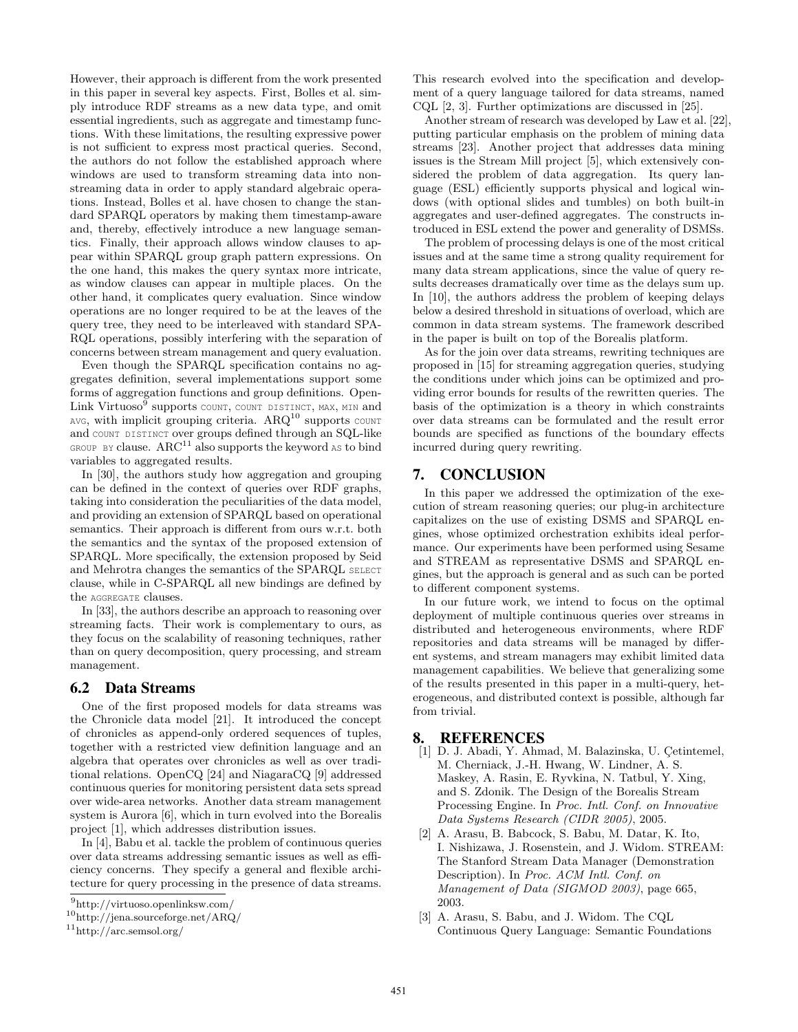However, their approach is different from the work presented in this paper in several key aspects. First, Bolles et al. simply introduce RDF streams as a new data type, and omit essential ingredients, such as aggregate and timestamp functions. With these limitations, the resulting expressive power is not sufficient to express most practical queries. Second, the authors do not follow the established approach where windows are used to transform streaming data into nonstreaming data in order to apply standard algebraic operations. Instead, Bolles et al. have chosen to change the standard SPARQL operators by making them timestamp-aware and, thereby, effectively introduce a new language semantics. Finally, their approach allows window clauses to appear within SPARQL group graph pattern expressions. On the one hand, this makes the query syntax more intricate, as window clauses can appear in multiple places. On the other hand, it complicates query evaluation. Since window operations are no longer required to be at the leaves of the query tree, they need to be interleaved with standard SPA-RQL operations, possibly interfering with the separation of concerns between stream management and query evaluation.

Even though the SPARQL specification contains no aggregates definition, several implementations support some forms of aggregation functions and group definitions. Open-Link Virtuoso $\overline{9}$  supports COUNT, COUNT DISTINCT, MAX, MIN and AVG, with implicit grouping criteria.  $ARQ^{10}$  supports COUNT and COUNT DISTINCT over groups defined through an SQL-like GROUP BY clause.  $\text{ARC}^{11}$  also supports the keyword As to bind variables to aggregated results.

In [30], the authors study how aggregation and grouping can be defined in the context of queries over RDF graphs, taking into consideration the peculiarities of the data model, and providing an extension of SPARQL based on operational semantics. Their approach is different from ours w.r.t. both the semantics and the syntax of the proposed extension of SPARQL. More specifically, the extension proposed by Seid and Mehrotra changes the semantics of the SPARQL SELECT clause, while in C-SPARQL all new bindings are defined by the AGGREGATE clauses.

In [33], the authors describe an approach to reasoning over streaming facts. Their work is complementary to ours, as they focus on the scalability of reasoning techniques, rather than on query decomposition, query processing, and stream management.

#### 6.2 Data Streams

One of the first proposed models for data streams was the Chronicle data model [21]. It introduced the concept of chronicles as append-only ordered sequences of tuples, together with a restricted view definition language and an algebra that operates over chronicles as well as over traditional relations. OpenCQ [24] and NiagaraCQ [9] addressed continuous queries for monitoring persistent data sets spread over wide-area networks. Another data stream management system is Aurora [6], which in turn evolved into the Borealis project [1], which addresses distribution issues.

In [4], Babu et al. tackle the problem of continuous queries over data streams addressing semantic issues as well as efficiency concerns. They specify a general and flexible architecture for query processing in the presence of data streams. This research evolved into the specification and development of a query language tailored for data streams, named CQL [2, 3]. Further optimizations are discussed in [25].

Another stream of research was developed by Law et al. [22], putting particular emphasis on the problem of mining data streams [23]. Another project that addresses data mining issues is the Stream Mill project [5], which extensively considered the problem of data aggregation. Its query language (ESL) efficiently supports physical and logical windows (with optional slides and tumbles) on both built-in aggregates and user-defined aggregates. The constructs introduced in ESL extend the power and generality of DSMSs.

The problem of processing delays is one of the most critical issues and at the same time a strong quality requirement for many data stream applications, since the value of query results decreases dramatically over time as the delays sum up. In [10], the authors address the problem of keeping delays below a desired threshold in situations of overload, which are common in data stream systems. The framework described in the paper is built on top of the Borealis platform.

As for the join over data streams, rewriting techniques are proposed in [15] for streaming aggregation queries, studying the conditions under which joins can be optimized and providing error bounds for results of the rewritten queries. The basis of the optimization is a theory in which constraints over data streams can be formulated and the result error bounds are specified as functions of the boundary effects incurred during query rewriting.

#### 7. CONCLUSION

In this paper we addressed the optimization of the execution of stream reasoning queries; our plug-in architecture capitalizes on the use of existing DSMS and SPARQL engines, whose optimized orchestration exhibits ideal performance. Our experiments have been performed using Sesame and STREAM as representative DSMS and SPARQL engines, but the approach is general and as such can be ported to different component systems.

In our future work, we intend to focus on the optimal deployment of multiple continuous queries over streams in distributed and heterogeneous environments, where RDF repositories and data streams will be managed by different systems, and stream managers may exhibit limited data management capabilities. We believe that generalizing some of the results presented in this paper in a multi-query, heterogeneous, and distributed context is possible, although far from trivial.

#### 8. REFERENCES

- [1] D. J. Abadi, Y. Ahmad, M. Balazinska, U. Cetintemel, M. Cherniack, J.-H. Hwang, W. Lindner, A. S. Maskey, A. Rasin, E. Ryvkina, N. Tatbul, Y. Xing, and S. Zdonik. The Design of the Borealis Stream Processing Engine. In Proc. Intl. Conf. on Innovative Data Systems Research (CIDR 2005), 2005.
- [2] A. Arasu, B. Babcock, S. Babu, M. Datar, K. Ito, I. Nishizawa, J. Rosenstein, and J. Widom. STREAM: The Stanford Stream Data Manager (Demonstration Description). In Proc. ACM Intl. Conf. on Management of Data (SIGMOD 2003), page 665, 2003.
- [3] A. Arasu, S. Babu, and J. Widom. The CQL Continuous Query Language: Semantic Foundations

<sup>9</sup> http://virtuoso.openlinksw.com/

 $^{10}\mathrm{http://jena.sourceforge.net/ARQ/}$ 

 $\rm ^{11}$  http://arc.semsol.org/